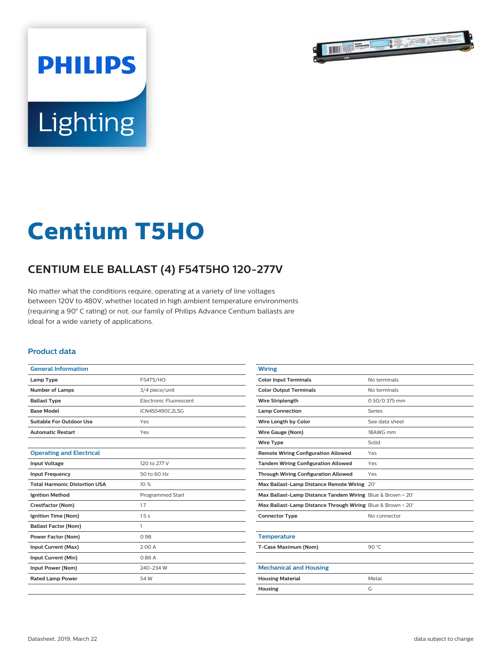

# Lighting

**PHILIPS** 

# **Centium T5HO**

## **CENTIUM ELE BALLAST (4) F54T5HO 120-277V**

No matter what the conditions require, operating at a variety of line voltages between 120V to 480V, whether located in high ambient temperature environments (requiring a 90° C rating) or not, our family of Philips Advance Centium ballasts are ideal for a wide variety of applications.

#### **Product data**

| <b>General Information</b>           |                                                                   |  |  |
|--------------------------------------|-------------------------------------------------------------------|--|--|
| Lamp Type                            | F54T5/HO                                                          |  |  |
| <b>Number of Lamps</b>               | 3/4 piece/unit<br><b>Electronic Eluorescent</b><br>ICN4S5490C2LSG |  |  |
| <b>Ballast Type</b>                  |                                                                   |  |  |
| <b>Base Model</b>                    |                                                                   |  |  |
| Suitable For Outdoor Use             | Yes                                                               |  |  |
| <b>Automatic Restart</b>             | Yes                                                               |  |  |
|                                      |                                                                   |  |  |
| <b>Operating and Electrical</b>      |                                                                   |  |  |
| <b>Input Voltage</b>                 | 120 to 277 V                                                      |  |  |
| <b>Input Frequency</b>               | 50 to 60 Hz                                                       |  |  |
| <b>Total Harmonic Distortion USA</b> | 10%                                                               |  |  |
| <b>Ignition Method</b>               | Programmed Start                                                  |  |  |
| Crestfactor (Nom)                    | 1.7                                                               |  |  |
| Ignition Time (Nom)                  | 1.5s                                                              |  |  |
| <b>Ballast Factor (Nom)</b>          | 1                                                                 |  |  |
| <b>Power Factor (Nom)</b>            | 0.98                                                              |  |  |
| Input Current (Max)                  | 2.00 A                                                            |  |  |
| Input Current (Min)                  | 0.86 A                                                            |  |  |
| Input Power (Nom)                    | 240-234 W                                                         |  |  |
| <b>Rated Lamp Power</b>              | 54 W                                                              |  |  |
|                                      |                                                                   |  |  |

| <b>Wiring</b>                                               |                |
|-------------------------------------------------------------|----------------|
| <b>Color Input Terminals</b>                                | No terminals   |
| <b>Color Output Terminals</b>                               | No terminals   |
| <b>Wire Striplength</b>                                     | 0.50/0.375 mm  |
| <b>Lamp Connection</b>                                      | Series         |
| Wire Length by Color                                        | See data sheet |
| Wire Gauge (Nom)                                            | 18AWG mm       |
| <b>Wire Type</b>                                            | Solid          |
| <b>Remote Wiring Configuration Allowed</b>                  | Yes            |
| <b>Tandem Wiring Configuration Allowed</b>                  | Yes            |
| <b>Through Wiring Configuration Allowed</b>                 | Yes            |
| Max Ballast-Lamp Distance Remote Wiring 20'                 |                |
| Max Ballast-Lamp Distance Tandem Wiring Blue & Brown = 20'  |                |
| Max Ballast-Lamp Distance Through Wiring Blue & Brown = 20' |                |
| <b>Connector Type</b>                                       | No connector   |
|                                                             |                |
| <b>Temperature</b>                                          |                |
| T-Case Maximum (Nom)                                        | 90 $°C$        |
|                                                             |                |
| <b>Mechanical and Housing</b>                               |                |
| <b>Housing Material</b>                                     | Metal          |
| <b>Housing</b>                                              | G              |